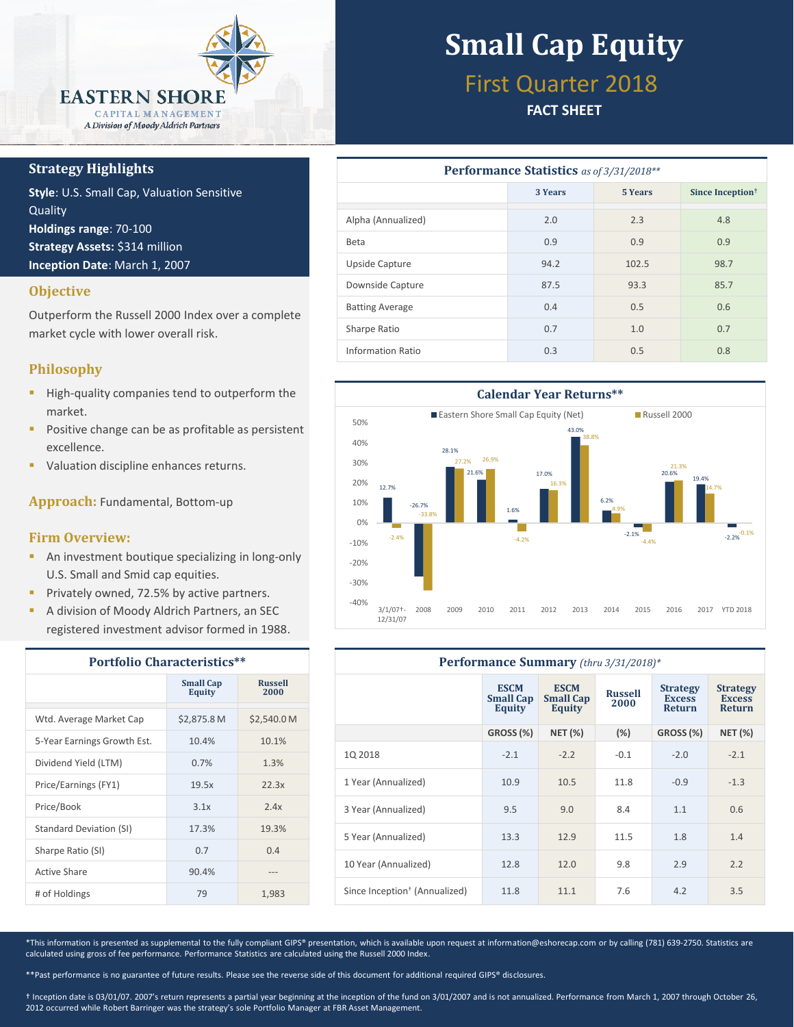

#### **Strategy Highlights**

**Style**: U.S. Small Cap, Valuation Sensitive **Quality Holdings range**: 70-100 **Strategy Assets:** \$314 million **Inception Date**: March 1, 2007

#### **Objective**

Outperform the Russell 2000 Index over a complete market cycle with lower overall risk.

#### **Philosophy**

- **High-quality companies tend to outperform the** market.
- **Positive change can be as profitable as persistent** excellence.
- Valuation discipline enhances returns.

**Approach:** Fundamental, Bottom-up

#### **Firm Overview:**

- **An investment boutique specializing in long-only** U.S. Small and Smid cap equities.
- **Privately owned, 72.5% by active partners.**
- A division of Moody Aldrich Partners, an SEC registered investment advisor formed in 1988.

| <b>Portfolio Characteristics**</b> |                                   |                        |  |  |  |
|------------------------------------|-----------------------------------|------------------------|--|--|--|
|                                    | <b>Small Cap</b><br><b>Equity</b> | <b>Russell</b><br>2000 |  |  |  |
| Wtd. Average Market Cap            | \$2,875.8 M                       | \$2,540.0 M            |  |  |  |
| 5-Year Earnings Growth Est.        | 10.4%                             | 10.1%                  |  |  |  |
| Dividend Yield (LTM)               | 0.7%                              | 1.3%                   |  |  |  |
| Price/Earnings (FY1)               | 19.5x                             | 22.3x                  |  |  |  |
| Price/Book                         | 3.1x                              | 2.4x                   |  |  |  |
| Standard Deviation (SI)            | 17.3%                             | 19.3%                  |  |  |  |
| Sharpe Ratio (SI)                  | 0.7                               | 0.4                    |  |  |  |
| Active Share                       | 90.4%                             |                        |  |  |  |
| # of Holdings                      | 79                                | 1,983                  |  |  |  |

# **Small Cap Equity**

## First Quarter 2018

#### **FACT SHEET**

| <b>Performance Statistics</b> as of 3/31/2018** |                    |       |                              |  |  |  |  |
|-------------------------------------------------|--------------------|-------|------------------------------|--|--|--|--|
|                                                 | 3 Years<br>5 Years |       | Since Inception <sup>†</sup> |  |  |  |  |
| Alpha (Annualized)                              | 2.0                | 2.3   | 4.8                          |  |  |  |  |
| Beta                                            | 0.9                | 0.9   | 0.9                          |  |  |  |  |
| Upside Capture                                  | 94.2               | 102.5 | 98.7                         |  |  |  |  |
| Downside Capture                                | 87.5               | 93.3  | 85.7                         |  |  |  |  |
| <b>Batting Average</b>                          | 0.4                | 0.5   | 0.6                          |  |  |  |  |
| Sharpe Ratio                                    | 0.7                | 1.0   | 0.7                          |  |  |  |  |
| Information Ratio                               | 0.3                | 0.5   | 0.8                          |  |  |  |  |



| Performance Summary (thru 3/31/2018)*     |                                                  |                                                  |                        |                                                   |                                                   |  |
|-------------------------------------------|--------------------------------------------------|--------------------------------------------------|------------------------|---------------------------------------------------|---------------------------------------------------|--|
|                                           | <b>ESCM</b><br><b>Small Cap</b><br><b>Equity</b> | <b>ESCM</b><br><b>Small Cap</b><br><b>Equity</b> | <b>Russell</b><br>2000 | <b>Strategy</b><br><b>Excess</b><br><b>Return</b> | <b>Strategy</b><br><b>Excess</b><br><b>Return</b> |  |
|                                           | <b>GROSS (%)</b>                                 | <b>NET (%)</b>                                   | $(\%)$                 | GROSS (%)                                         | <b>NET (%)</b>                                    |  |
| 1Q 2018                                   | $-2.1$                                           | $-2.2$                                           | $-0.1$                 | $-2.0$                                            | $-2.1$                                            |  |
| 1 Year (Annualized)                       | 10.9                                             | 10.5                                             | 11.8                   | $-0.9$                                            | $-1.3$                                            |  |
| 3 Year (Annualized)                       | 9.5                                              | 9.0                                              | 8.4                    | 1.1                                               | 0.6                                               |  |
| 5 Year (Annualized)                       | 13.3                                             | 12.9                                             | 11.5                   | 1.8                                               | 1.4                                               |  |
| 10 Year (Annualized)                      | 12.8                                             | 12.0                                             | 9.8                    | 2.9                                               | 2.2                                               |  |
| Since Inception <sup>†</sup> (Annualized) | 11.8                                             | 11.1                                             | 7.6                    | 4.2                                               | 3.5                                               |  |

\*This information is presented as supplemental to the fully compliant GIPS® presentation, which is available upon request at information@eshorecap.com or by calling (781) 639-2750. Statistics are calculated using gross of fee performance. Performance Statistics are calculated using the Russell 2000 Index.

\*\*Past performance is no guarantee of future results. Please see the reverse side of this document for additional required GIPS® disclosures.

† Inception date is 03/01/07. 2007's return represents a partial year beginning at the inception of the fund on 3/01/2007 and is not annualized. Performance from March 1, 2007 through October 26, 2012 occurred while Robert Barringer was the strategy's sole Portfolio Manager at FBR Asset Management.